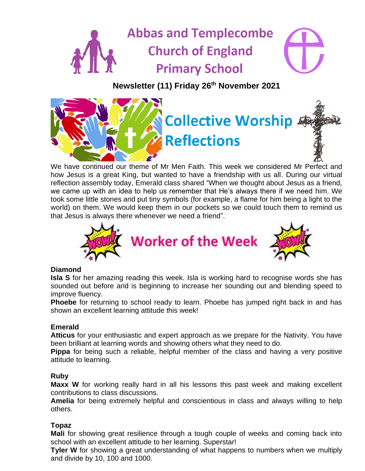# **Abbas and Templecombe Church of England Primary School**





We have continued our theme of Mr Men Faith. This week we considered Mr Perfect and how Jesus is a great King, but wanted to have a friendship with us all. During our virtual reflection assembly today, Emerald class shared "When we thought about Jesus as a friend, we came up with an idea to help us remember that He's always there if we need him. We took some little stones and put tiny symbols (for example, a flame for him being a light to the world) on them. We would keep them in our pockets so we could touch them to remind us that Jesus is always there whenever we need a friend".



## **Diamond**

**Isla S** for her amazing reading this week. Isla is working hard to recognise words she has sounded out before and is beginning to increase her sounding out and blending speed to improve fluency.

**Phoebe** for returning to school ready to learn. Phoebe has jumped right back in and has shown an excellent learning attitude this week!

## **Emerald**

**Atticus** for your enthusiastic and expert approach as we prepare for the Nativity. You have been brilliant at learning words and showing others what they need to do.

**Pippa** for being such a reliable, helpful member of the class and having a very positive attitude to learning.

#### **Ruby**

**Maxx W** for working really hard in all his lessons this past week and making excellent contributions to class discussions.

**Amelia** for being extremely helpful and conscientious in class and always willing to help others.

## **Topaz**

**Mali** for showing great resilience through a tough couple of weeks and coming back into school with an excellent attitude to her learning. Superstar!

**Tyler W** for showing a great understanding of what happens to numbers when we multiply and divide by 10, 100 and 1000.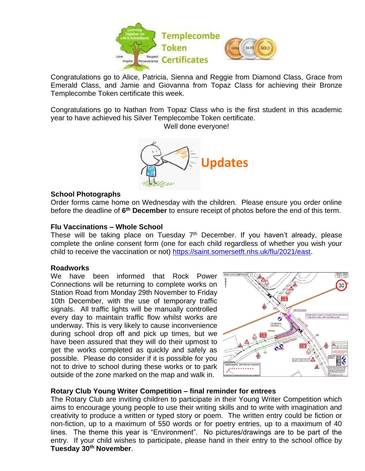

Congratulations go to Alice, Patricia, Sienna and Reggie from Diamond Class, Grace from Emerald Class, and Jamie and Giovanna from Topaz Class for achieving their Bronze Templecombe Token certificate this week.

Congratulations go to Nathan from Topaz Class who is the first student in this academic year to have achieved his Silver Templecombe Token certificate.

Well done everyone!



#### **School Photographs**

Order forms came home on Wednesday with the children. Please ensure you order online before the deadline of 6<sup>th</sup> December to ensure receipt of photos before the end of this term.

#### **Flu Vaccinations – Whole School**

These will be taking place on Tuesday  $7<sup>th</sup>$  December. If you haven't already, please complete the online consent form (one for each child regardless of whether you wish your child to receive the vaccination or not) [https://saint.somersetft.nhs.uk/flu/2021/east.](https://saint.somersetft.nhs.uk/flu/2021/east)

#### **Roadworks**

We have been informed that Rock Power Connections will be returning to complete works on Station Road from Monday 29th November to Friday 10th December, with the use of temporary traffic signals. All traffic lights will be manually controlled every day to maintain traffic flow whilst works are underway. This is very likely to cause inconvenience during school drop off and pick up times, but we have been assured that they will do their upmost to get the works completed as quickly and safely as possible. Please do consider if it is possible for you not to drive to school during these works or to park outside of the zone marked on the map and walk in.



#### **Rotary Club Young Writer Competition – final reminder for entrees**

The Rotary Club are inviting children to participate in their Young Writer Competition which aims to encourage young people to use their writing skills and to write with imagination and creativity to produce a written or typed story or poem. The written entry could be fiction or non-fiction, up to a maximum of 550 words or for poetry entries, up to a maximum of 40 lines. The theme this year is "Environment". No pictures/drawings are to be part of the entry. If your child wishes to participate, please hand in their entry to the school office by **Tuesday 30th November**.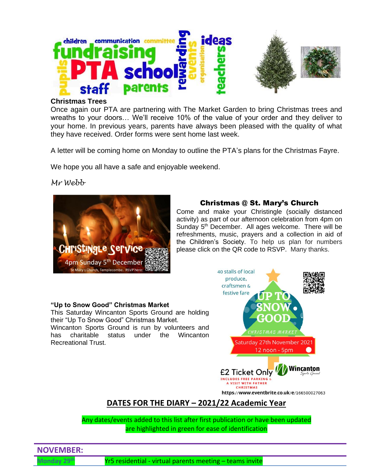

#### **Christmas Trees**

Once again our PTA are partnering with The Market Garden to bring Christmas trees and wreaths to your doors… We'll receive 10% of the value of your order and they deliver to your home. In previous years, parents have always been pleased with the quality of what they have received. Order forms were sent home last week.

A letter will be coming home on Monday to outline the PTA's plans for the Christmas Fayre.

We hope you all have a safe and enjoyable weekend.

*Mr Webb*



# Christmas @ St. Mary's Church

Come and make your Christingle (socially distanced activity) as part of our afternoon celebration from 4pm on Sunday 5<sup>th</sup> December. All ages welcome. There will be refreshments, music, prayers and a collection in aid of the Children's Society. To help us plan for numbers please click on the QR code to RSVP. Many thanks.

#### **"Up to Snow Good" Christmas Market**

This Saturday Wincanton Sports Ground are holding their "Up To Snow Good" Christmas Market. Wincanton Sports Ground is run by volunteers and has charitable status under the Wincanton Recreational Trust.



# **DATES FOR THE DIARY – 2021/22 Academic Year**

Any dates/events added to this list after first publication or have been updated are highlighted in green for ease of identification

# **NOVEMBER:**

**Monday 29th** Yr5 residential - virtual parents meeting – teams invite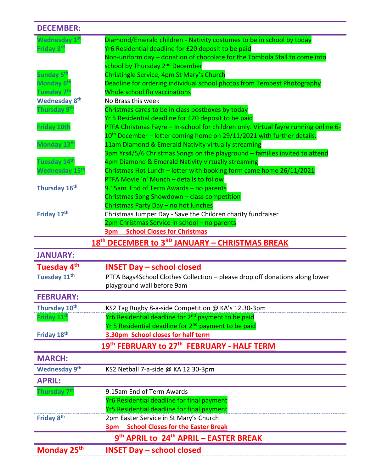| <b>DECEMBER:</b>           |                                                                                                                                   |
|----------------------------|-----------------------------------------------------------------------------------------------------------------------------------|
| Wednesday 1st              | Diamond/Emerald children - Nativity costumes to be in school by today                                                             |
| Friday 3rd                 | Yr6 Residential deadline for £20 deposit to be paid                                                                               |
|                            | Non-uniform day - donation of chocolate for the Tombola Stall to come into                                                        |
|                            | school by Thursday 2 <sup>nd</sup> December                                                                                       |
| Sunday 5 <sup>th</sup>     | Christingle Service, 4pm St Mary's Church                                                                                         |
| Monday 6 <sup>th</sup>     | Deadline for ordering individual school photos from Tempest Photography                                                           |
| Tuesday 7 <sup>th</sup>    | Whole school flu vaccinations                                                                                                     |
| <b>Wednesday 8th</b>       | No Brass this week                                                                                                                |
| Thursday 9 <sup>th</sup>   | Christmas cards to be in class postboxes by today                                                                                 |
|                            | Yr 5 Residential deadline for £20 deposit to be paid                                                                              |
| <b>Friday 10th</b>         | PTFA Christmas Fayre - In-school for children only. Virtual fayre running online 6-                                               |
|                            | 10 <sup>th</sup> December – letter coming home on 29/11/2021 with further details.                                                |
| Monday 13 <sup>th</sup>    | 11am Diamond & Emerald Nativity virtually streaming                                                                               |
| Tuesday 14 <sup>th</sup>   | 3pm Yrs4/5/6 Christmas Songs on the playground - families invited to attend<br>4pm Diamond & Emerald Nativity virtually streaming |
| Wednesday 15 <sup>th</sup> | Christmas Hot Lunch - letter with booking form came home 26/11/2021                                                               |
|                            | PTFA Movie 'n' Munch - details to follow                                                                                          |
| Thursday 16th              | 9.15am End of Term Awards - no parents                                                                                            |
|                            | Christmas Song Showdown - class competition                                                                                       |
|                            | Christmas Party Day - no hot lunches                                                                                              |
| Friday 17th                | Christmas Jumper Day - Save the Children charity fundraiser                                                                       |
|                            | 2pm Christmas Service in school - no parents                                                                                      |
|                            | <b>3pm</b> School Closes for Christmas                                                                                            |
|                            | 18 <sup>th</sup> DECEMBER to 3 <sup>RD</sup> JANUARY - CHRISTMAS BREAK                                                            |
|                            |                                                                                                                                   |
| <b>JANUARY:</b>            |                                                                                                                                   |
|                            |                                                                                                                                   |
| Tuesday 4 <sup>th</sup>    | <b>INSET Day – school closed</b>                                                                                                  |
| Tuesday 11 <sup>th</sup>   | PTFA Bags4School Clothes Collection - please drop off donations along lower                                                       |
| <b>FEBRUARY:</b>           | playground wall before 9am                                                                                                        |
|                            |                                                                                                                                   |
| Thursday 10th              | KS2 Tag Rugby 8-a-side Competition @ KA's 12.30-3pm<br>Yr6 Residential deadline for 2 <sup>nd</sup> payment to be paid            |
| Friday 11 <sup>th</sup>    |                                                                                                                                   |
| Friday 18th                | Yr 5 Residential deadline for 2 <sup>nd</sup> payment to be paid<br>3.30pm School closes for half term                            |
|                            | 19 <sup>th</sup> FEBRUARY to 27 <sup>th</sup> FEBRUARY - HALF TERM                                                                |
| <b>MARCH:</b>              |                                                                                                                                   |
| <b>Wednesday 9th</b>       | KS2 Netball 7-a-side @ KA 12.30-3pm                                                                                               |
| <b>APRIL:</b>              |                                                                                                                                   |
| Thursday 7 <sup>th</sup>   | 9.15am End of Term Awards                                                                                                         |
|                            | Yr6 Residential deadline for final payment                                                                                        |
|                            | Yr5 Residential deadline for final payment                                                                                        |
| Friday 8th                 | 2pm Easter Service in St Mary's Church                                                                                            |
|                            | <b>3pm School Closes for the Easter Break</b>                                                                                     |
|                            | 9 <sup>th</sup> APRIL to 24 <sup>th</sup> APRIL - EASTER BREAK                                                                    |